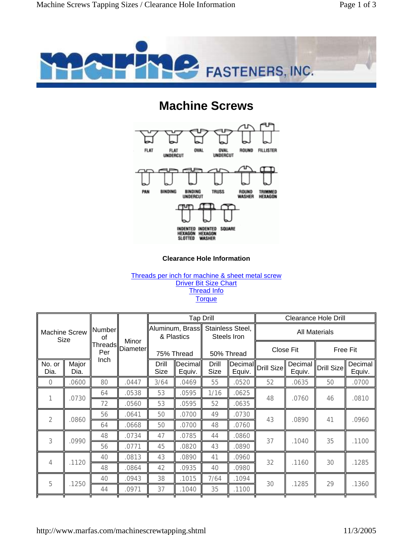

## **Machine Screws**



## **Clearance Hole Information**

## Threads per inch for machine & sheet metal screw Driver Bit Size Chart Thread Info **Torque**

| <b>Machine Screw</b><br>Size |               | Number<br>οf<br><b>Threads</b><br>Per | Minor<br>Diameter |                                               |                   | <b>Tap Drill</b>                              |        | <b>Clearance Hole Drill</b> |                   |                 |                   |
|------------------------------|---------------|---------------------------------------|-------------------|-----------------------------------------------|-------------------|-----------------------------------------------|--------|-----------------------------|-------------------|-----------------|-------------------|
|                              |               |                                       |                   | Aluminum, Brass  <br>& Plastics<br>75% Thread |                   | Stainless Steel,<br>Steels Iron<br>50% Thread |        | <b>All Materials</b>        |                   |                 |                   |
|                              |               |                                       |                   |                                               |                   |                                               |        | Close Fit                   |                   | <b>Free Fit</b> |                   |
| No. or<br>Dia.               | Major<br>Dia. | Inch                                  |                   | Drill<br><b>Size</b>                          | Decimal<br>Equiv. | Drill<br>Size                                 | Equiv. | Decimal Drill Size          | Decimal<br>Equiv. | Drill Size      | Decimal<br>Equiv. |
| $\overline{0}$               | .0600         | 80                                    | .0447             | 3/64                                          | .0469             | 55                                            | .0520  | 52                          | .0635             | 50              | .0700             |
| 1                            | .0730         | 64                                    | .0538             | 53                                            | .0595             | 1/16                                          | .0625  | 48                          | .0760             | 46              | .0810             |
|                              |               | 72                                    | .0560             | 53                                            | .0595             | 52                                            | .0635  |                             |                   |                 |                   |
| $\overline{2}$               | .0860         | 56                                    | .0641             | 50                                            | 0700              | 49                                            | .0730  | 43                          | .0890             | 41              | .0960             |
|                              |               | 64                                    | .0668             | 50                                            | .0700             | 48                                            | .0760  |                             |                   |                 |                   |
| 3                            | .0990         | 48                                    | .0734             | 47                                            | .0785             | 44                                            | .0860  | 37                          | .1040             | 35              | .1100             |
|                              |               | 56                                    | .0771             | 45                                            | .0820             | 43                                            | .0890  |                             |                   |                 |                   |
| 4                            | .1120         | 40                                    | .0813             | 43                                            | .0890             | 41                                            | .0960  | 32                          | .1160             | 30              | .1285             |
|                              |               | 48                                    | .0864             | 42                                            | .0935             | 40                                            | .0980  |                             |                   |                 |                   |
| 5                            | .1250         | 40                                    | .0943             | 38                                            | .1015             | 7/64                                          | .1094  | 30                          | .1285             | 29              | .1360             |
|                              |               | 44                                    | .0971             | 37                                            | .1040             | 35                                            | .1100  |                             |                   |                 |                   |
|                              |               |                                       |                   |                                               |                   |                                               |        |                             |                   |                 |                   |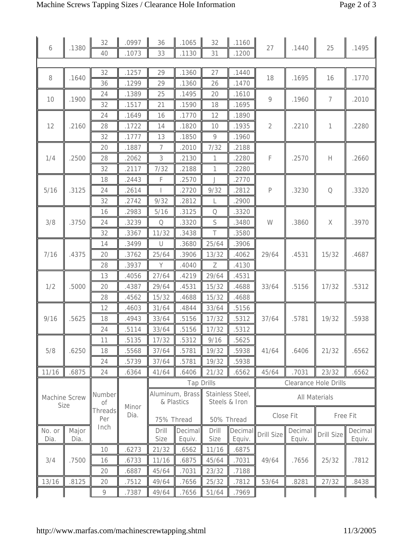|                       |       | 32                                                     | .0997      | 36                            | .1065          | 32                                | .1160          | 27                           | .1440    | 25            | .1495   |
|-----------------------|-------|--------------------------------------------------------|------------|-------------------------------|----------------|-----------------------------------|----------------|------------------------------|----------|---------------|---------|
| 6                     | .1380 | 40                                                     | .1073      | 33                            | .1130          | 31                                | .1200          |                              |          |               |         |
|                       |       |                                                        |            |                               |                |                                   |                |                              |          |               |         |
| 8                     | .1640 | 32                                                     | .1257      | 29                            | .1360          | 27                                | .1440          | 18                           | .1695    | 16            | .1770   |
|                       |       | 36                                                     | .1299      | 29                            | .1360          | 26                                | .1470          |                              |          |               |         |
| 10                    | .1900 | 24                                                     | .1389      | 25                            | .1495          | 20                                | .1610          | $\circ$                      | .1960    | 7             | .2010   |
|                       |       | 32                                                     | .1517      | 21                            | .1590          | 18                                | .1695          |                              |          |               |         |
|                       |       | 24                                                     | .1649      | 16                            | .1770          | 12                                | .1890          |                              |          |               |         |
| 12                    | .2160 | 28                                                     | .1722      | 14                            | .1820          | 10                                | .1935          | $\sqrt{2}$                   | .2210    | $\mathbf{1}$  | .2280   |
|                       |       | 32                                                     | .1777      | 13                            | .1850          | 9                                 | .1960          |                              |          |               |         |
|                       |       | 20                                                     | .1887      | 7                             | .2010          | 7/32                              | .2188          |                              |          |               |         |
| 1/4                   | .2500 | 28                                                     | .2062      | 3                             | .2130          | $\mathbf{1}$                      | .2280          | $\mathsf F$                  | .2570    | Н             | .2660   |
|                       |       | 32                                                     | .2117      | 7/32                          | .2188          | 1                                 | .2280          |                              |          |               |         |
|                       |       | 18                                                     | .2443      | F                             | .2570          | J                                 | .2770          | $\mathsf{P}$                 | .3230    | $\mathcal{O}$ | .3320   |
| 5/16                  | .3125 | 24                                                     | .2614      | T                             | .2720          | 9/32                              | 2812           |                              |          |               |         |
|                       |       | 32                                                     | .2742      | 9/32                          | .2812          | L                                 | .2900          |                              |          |               |         |
|                       |       | 16                                                     | .2983      | 5/16                          | .3125          | Q                                 | .3320          |                              |          |               |         |
| 3/8                   | .3750 | 24                                                     | .3239      | $\hbox{\large $\mathcal{O}$}$ | .3320          | S                                 | .3480          | W                            | .3860    | $\mathsf X$   | .3970   |
|                       |       | 32                                                     | .3367      | 11/32                         | .3438          | Τ                                 | .3580          |                              |          |               |         |
| 7/16                  | .4375 | 14                                                     | .3499      | $\cup$                        | .3680          | 25/64                             | .3906          | 29/64                        |          | 15/32         | .4687   |
|                       |       | 20                                                     | .3762      | 25/64                         | .3906          | 13/32                             | .4062          |                              | .4531    |               |         |
|                       |       | 28                                                     | .3937      | Y                             | .4040          | Ζ                                 | .4130          |                              |          |               |         |
|                       | .5000 | 13                                                     | .4056      | 27/64                         | .4219          | 29/64                             | .4531          | 33/64                        | .5156    | 17/32         | .5312   |
| 1/2                   |       | 20                                                     | .4387      | 29/64                         | .4531          | 15/32                             | .4688          |                              |          |               |         |
|                       |       | 28                                                     | .4562      | 15/32                         | .4688          | 15/32                             | .4688          |                              |          |               |         |
|                       | .5625 | 12                                                     | .4603      | 31/64                         | .4844          | 33/64                             | .5156          | 37/64                        | .5781    | 19/32         | .5938   |
| 9/16                  |       | 18                                                     | .4943      | 33/64                         | .5156          | 17/32                             | .5312          |                              |          |               |         |
|                       |       | 24                                                     | .5114      | 33/64                         | .5156          | 17/32                             | .5312          |                              |          |               |         |
|                       | .6250 | 11                                                     | .5135      | 17/32                         | .5312          | 9/16                              | .5625          | 41/64                        | .6406    | 21/32         | .6562   |
| 5/8                   |       | 18                                                     | .5568      | 37/64                         | .5781          | 19/32                             | .5938          |                              |          |               |         |
|                       |       | 24                                                     | .5739      | 37/64                         | .5781          | 19/32                             | .5938          |                              |          |               |         |
| 11/16                 | .6875 | 24                                                     | .6364      | 41/64                         | .6406          | 21/32                             | .6562          | 45/64                        | .7031    | 23/32         | .6562   |
| Machine Screw<br>Size |       |                                                        |            | <b>Tap Drills</b>             |                |                                   |                | <b>Clearance Hole Drills</b> |          |               |         |
|                       |       | Number<br>Οf<br>Minor<br><b>Threads</b><br>Dia.<br>Per |            | Aluminum, Brass<br>& Plastics |                | Stainless Steel,<br>Steels & Iron |                | <b>All Materials</b>         |          |               |         |
|                       |       |                                                        |            |                               |                |                                   |                |                              |          |               |         |
|                       |       |                                                        | 75% Thread |                               | 50% Thread     |                                   | Close Fit      |                              | Free Fit |               |         |
| No. or                | Major | Inch                                                   |            | Drill                         | <b>Decimal</b> | Drill                             | <b>Decimal</b> |                              | Decimal  |               | Decimal |
| Dia.                  | Dia.  |                                                        |            | Size                          | Equiv.         | Size                              | Equiv.         | Drill Size                   | Equiv.   | Drill Size    | Equiv.  |
|                       |       | 10                                                     | .6273      | 21/32                         | .6562          | 11/16                             | .6875          |                              |          |               |         |
| 3/4                   | .7500 | 16                                                     | .6733      | 11/16                         | .6875          | 45/64                             | .7031          | 49/64                        | .7656    | 25/32         | .7812   |
|                       |       | 20                                                     | .6887      | 45/64                         | .7031          | 23/32                             | .7188          |                              |          |               |         |
| 13/16                 | .8125 | 20                                                     | .7512      | 49/64                         | .7656          | 25/32                             | .7812          | 53/64                        | .8281    | 27/32         | .8438   |
|                       |       | 9                                                      | .7387      | 49/64                         | .7656          | 51/64                             | .7969          |                              |          |               |         |